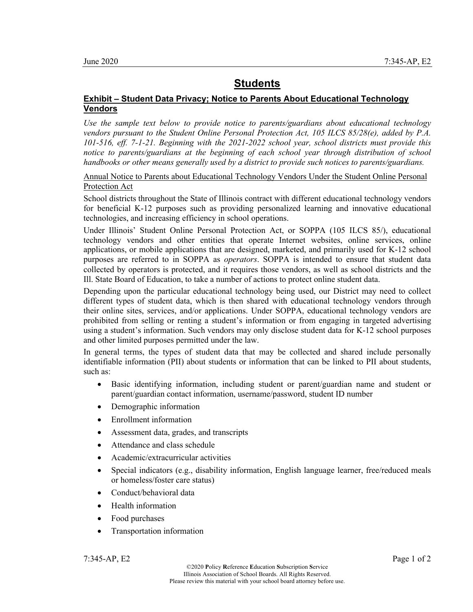## **Students**

## **Exhibit – Student Data Privacy; Notice to Parents About Educational Technology Vendors**

*Use the sample text below to provide notice to parents/guardians about educational technology vendors pursuant to the Student Online Personal Protection Act, 105 ILCS 85/28(e), added by P.A. 101-516, eff. 7-1-21. Beginning with the 2021-2022 school year, school districts must provide this notice to parents/guardians at the beginning of each school year through distribution of school handbooks or other means generally used by a district to provide such notices to parents/guardians.*

## Annual Notice to Parents about Educational Technology Vendors Under the Student Online Personal Protection Act

School districts throughout the State of Illinois contract with different educational technology vendors for beneficial K-12 purposes such as providing personalized learning and innovative educational technologies, and increasing efficiency in school operations.

Under Illinois' Student Online Personal Protection Act, or SOPPA (105 ILCS 85/), educational technology vendors and other entities that operate Internet websites, online services, online applications, or mobile applications that are designed, marketed, and primarily used for K-12 school purposes are referred to in SOPPA as *operators*. SOPPA is intended to ensure that student data collected by operators is protected, and it requires those vendors, as well as school districts and the Ill. State Board of Education, to take a number of actions to protect online student data.

Depending upon the particular educational technology being used, our District may need to collect different types of student data, which is then shared with educational technology vendors through their online sites, services, and/or applications. Under SOPPA, educational technology vendors are prohibited from selling or renting a student's information or from engaging in targeted advertising using a student's information. Such vendors may only disclose student data for K-12 school purposes and other limited purposes permitted under the law.

In general terms, the types of student data that may be collected and shared include personally identifiable information (PII) about students or information that can be linked to PII about students, such as:

- Basic identifying information, including student or parent/guardian name and student or parent/guardian contact information, username/password, student ID number
- Demographic information
- Enrollment information
- Assessment data, grades, and transcripts
- Attendance and class schedule
- Academic/extracurricular activities
- Special indicators (e.g., disability information, English language learner, free/reduced meals or homeless/foster care status)
- Conduct/behavioral data
- Health information
- Food purchases
- Transportation information